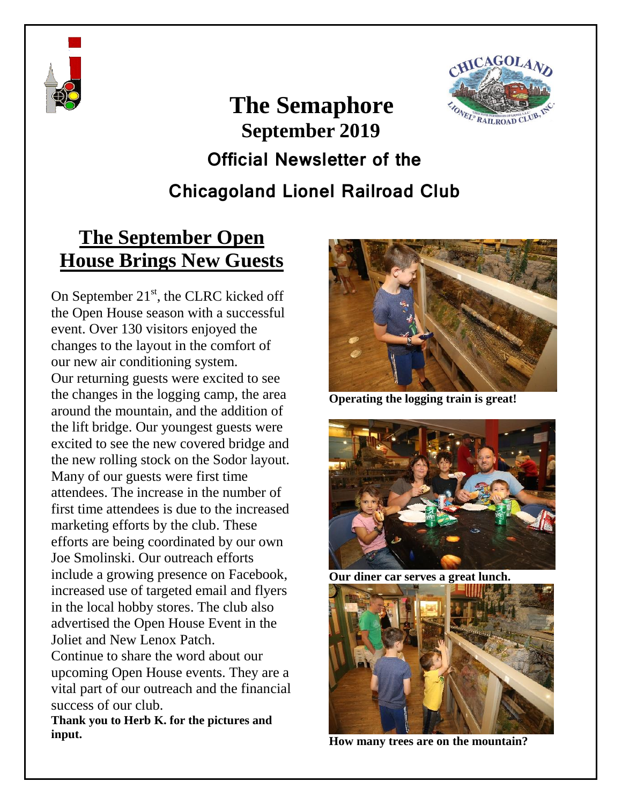



# **The Semaphore September 2019 Official Newsletter of the Chicagoland Lionel Railroad Club**

## **The September Open House Brings New Guests**

On September  $21<sup>st</sup>$ , the CLRC kicked off the Open House season with a successful event. Over 130 visitors enjoyed the changes to the layout in the comfort of our new air conditioning system. Our returning guests were excited to see the changes in the logging camp, the area around the mountain, and the addition of the lift bridge. Our youngest guests were excited to see the new covered bridge and the new rolling stock on the Sodor layout. Many of our guests were first time attendees. The increase in the number of first time attendees is due to the increased marketing efforts by the club. These efforts are being coordinated by our own Joe Smolinski. Our outreach efforts include a growing presence on Facebook, increased use of targeted email and flyers in the local hobby stores. The club also advertised the Open House Event in the Joliet and New Lenox Patch.

Continue to share the word about our upcoming Open House events. They are a vital part of our outreach and the financial success of our club.

**Thank you to Herb K. for the pictures and input.**



**Operating the logging train is great!**



**Our diner car serves a great lunch.**



**How many trees are on the mountain?**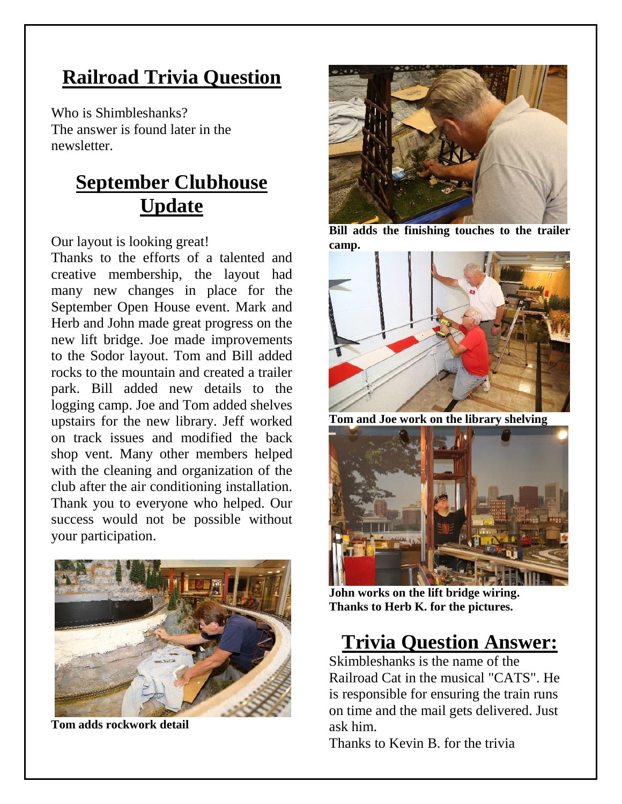## **Railroad Trivia Question**

Who is Shimbleshanks? The answer is found later in the newsletter.

## **September Clubhouse Update**

Our layout is looking great!

Thanks to the efforts of a talented and creative membership, the layout had many new changes in place for the September Open House event. Mark and Herb and John made great progress on the new lift bridge. Joe made improvements to the Sodor layout. Tom and Bill added rocks to the mountain and created a trailer park. Bill added new details to the logging camp. Joe and Tom added shelves upstairs for the new library. Jeff worked on track issues and modified the back shop vent. Many other members helped with the cleaning and organization of the club after the air conditioning installation. Thank you to everyone who helped. Our success would not be possible without your participation.



**Tom adds rockwork detail**



**Bill adds the finishing touches to the trailer camp.**



**Tom and Joe work on the library shelving**



**John works on the lift bridge wiring. Thanks to Herb K. for the pictures.**

#### **Trivia Question Answer:**

Skimbleshanks is the name of the Railroad Cat in the musical "CATS". He is responsible for ensuring the train runs on time and the mail gets delivered. Just ask him.

Thanks to Kevin B. for the trivia